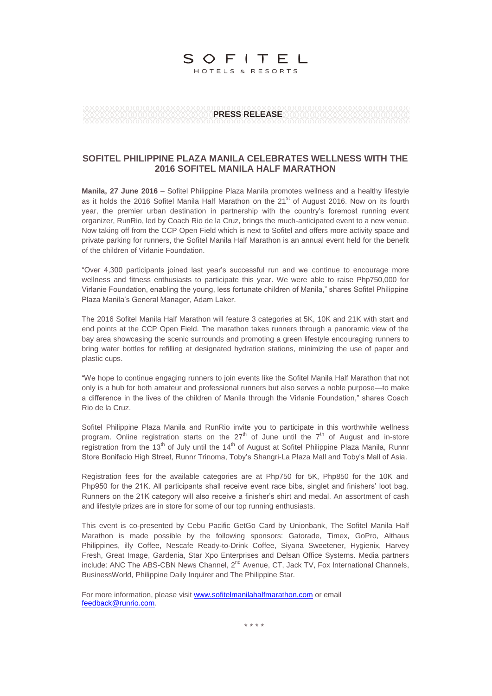# SOFITEL

HOTELS & RESORTS

**PRESS RELEASE**

### **SOFITEL PHILIPPINE PLAZA MANILA CELEBRATES WELLNESS WITH THE 2016 SOFITEL MANILA HALF MARATHON**

**Manila, 27 June 2016** – Sofitel Philippine Plaza Manila promotes wellness and a healthy lifestyle as it holds the 2016 Sofitel Manila Half Marathon on the  $21<sup>st</sup>$  of August 2016. Now on its fourth year, the premier urban destination in partnership with the country's foremost running event organizer, RunRio, led by Coach Rio de la Cruz, brings the much-anticipated event to a new venue. Now taking off from the CCP Open Field which is next to Sofitel and offers more activity space and private parking for runners, the Sofitel Manila Half Marathon is an annual event held for the benefit of the children of Virlanie Foundation.

―Over 4,300 participants joined last year's successful run and we continue to encourage more wellness and fitness enthusiasts to participate this year. We were able to raise Php750,000 for Virlanie Foundation, enabling the young, less fortunate children of Manila," shares Sofitel Philippine Plaza Manila's General Manager, Adam Laker.

The 2016 Sofitel Manila Half Marathon will feature 3 categories at 5K, 10K and 21K with start and end points at the CCP Open Field. The marathon takes runners through a panoramic view of the bay area showcasing the scenic surrounds and promoting a green lifestyle encouraging runners to bring water bottles for refilling at designated hydration stations, minimizing the use of paper and plastic cups.

―We hope to continue engaging runners to join events like the Sofitel Manila Half Marathon that not only is a hub for both amateur and professional runners but also serves a noble purpose—to make a difference in the lives of the children of Manila through the Virlanie Foundation," shares Coach Rio de la Cruz.

Sofitel Philippine Plaza Manila and RunRio invite you to participate in this worthwhile wellness program. Online registration starts on the  $27<sup>th</sup>$  of June until the  $7<sup>th</sup>$  of August and in-store registration from the 13<sup>th</sup> of July until the 14<sup>th</sup> of August at Sofitel Philippine Plaza Manila, Runnr Store Bonifacio High Street, Runnr Trinoma, Toby's Shangri-La Plaza Mall and Toby's Mall of Asia.

Registration fees for the available categories are at Php750 for 5K, Php850 for the 10K and Php950 for the 21K. All participants shall receive event race bibs, singlet and finishers' loot bag. Runners on the 21K category will also receive a finisher's shirt and medal. An assortment of cash and lifestyle prizes are in store for some of our top running enthusiasts.

This event is co-presented by Cebu Pacific GetGo Card by Unionbank, The Sofitel Manila Half Marathon is made possible by the following sponsors: Gatorade, Timex, GoPro, Althaus Philippines, illy Coffee, Nescafe Ready-to-Drink Coffee, Siyana Sweetener, Hygienix, Harvey Fresh, Great Image, Gardenia, Star Xpo Enterprises and Delsan Office Systems. Media partners include: ANC The ABS-CBN News Channel, 2<sup>nd</sup> Avenue, CT, Jack TV, Fox International Channels, BusinessWorld, Philippine Daily Inquirer and The Philippine Star.

For more information, please visi[t www.sofitelmanilahalfmarathon.com](http://www.sofitelmanilahalfmarathon.com/) or email [feedback@runrio.com.](mailto:feedback@runrio.com)

\* \* \* \*